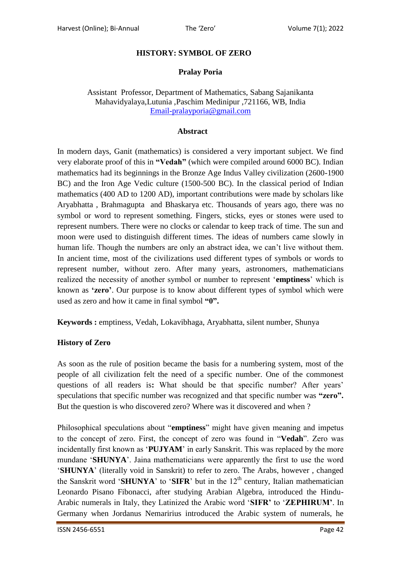## **HISTORY: SYMBOL OF ZERO**

## **Pralay Poria**

## Assistant Professor, Department of Mathematics, Sabang Sajanikanta Mahavidyalaya,Lutunia ,Paschim Medinipur ,721166, WB, India [Email-pralayporia@gmail.com](mailto:Email-pralayporia@gmail.com)

#### **Abstract**

In modern days, Ganit (mathematics) is considered a very important subject. We find very elaborate proof of this in **"Vedah"** (which were compiled around 6000 BC). Indian mathematics had its beginnings in the Bronze Age Indus Valley civilization (2600-1900 BC) and the Iron Age Vedic culture (1500-500 BC). In the classical period of Indian mathematics (400 AD to 1200 AD), important contributions were made by scholars like Aryabhatta , Brahmagupta and Bhaskarya etc. Thousands of years ago, there was no symbol or word to represent something. Fingers, sticks, eyes or stones were used to represent numbers. There were no clocks or calendar to keep track of time. The sun and moon were used to distinguish different times. The ideas of numbers came slowly in human life. Though the numbers are only an abstract idea, we can't live without them. In ancient time, most of the civilizations used different types of symbols or words to represent number, without zero. After many years, astronomers, mathematicians realized the necessity of another symbol or number to represent "**emptiness**" which is known as **"zero"**. Our purpose is to know about different types of symbol which were used as zero and how it came in final symbol **"0".**

**Keywords :** emptiness, Vedah, Lokavibhaga, Aryabhatta, silent number, Shunya

### **History of Zero**

As soon as the rule of position became the basis for a numbering system, most of the people of all civilization felt the need of a specific number. One of the commonest questions of all readers is: What should be that specific number? After years' speculations that specific number was recognized and that specific number was **"zero".** But the question is who discovered zero? Where was it discovered and when ?

Philosophical speculations about "**emptiness**" might have given meaning and impetus to the concept of zero. First, the concept of zero was found in "**Vedah**". Zero was incidentally first known as "**PUJYAM**" in early Sanskrit. This was replaced by the more mundane "**SHUNYA**". Jaina mathematicians were apparently the first to use the word "**SHUNYA**" (literally void in Sanskrit) to refer to zero. The Arabs, however , changed the Sanskrit word **'SHUNYA'** to **'SIFR'** but in the  $12<sup>th</sup>$  century, Italian mathematician Leonardo Pisano Fibonacci, after studying Arabian Algebra, introduced the Hindu-Arabic numerals in Italy, they Latinized the Arabic word "**SIFR"** to "**ZEPHIRUM"**. In Germany when Jordanus Nemaririus introduced the Arabic system of numerals, he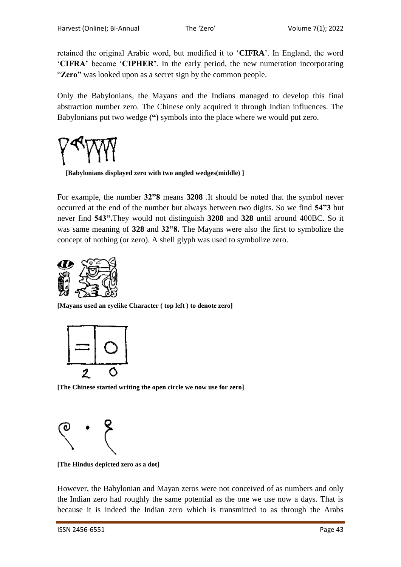retained the original Arabic word, but modified it to "**CIFRA**". In England, the word "**CIFRA"** became "**CIPHER"**. In the early period, the new numeration incorporating "**Zero"** was looked upon as a secret sign by the common people.

Only the Babylonians, the Mayans and the Indians managed to develop this final abstraction number zero. The Chinese only acquired it through Indian influences. The Babylonians put two wedge **(")** symbols into the place where we would put zero.



 **[Babylonians displayed zero with two angled wedges(middle) ]**

For example, the number **32"8** means **3208** .It should be noted that the symbol never occurred at the end of the number but always between two digits. So we find **54"3** but never find **543".**They would not distinguish **3208** and **328** until around 400BC. So it was same meaning of **328** and **32"8.** The Mayans were also the first to symbolize the concept of nothing (or zero). A shell glyph was used to symbolize zero.



**[Mayans used an eyelike Character ( top left ) to denote zero]**



**[The Chinese started writing the open circle we now use for zero]**



**[The Hindus depicted zero as a dot]**

However, the Babylonian and Mayan zeros were not conceived of as numbers and only the Indian zero had roughly the same potential as the one we use now a days. That is because it is indeed the Indian zero which is transmitted to as through the Arabs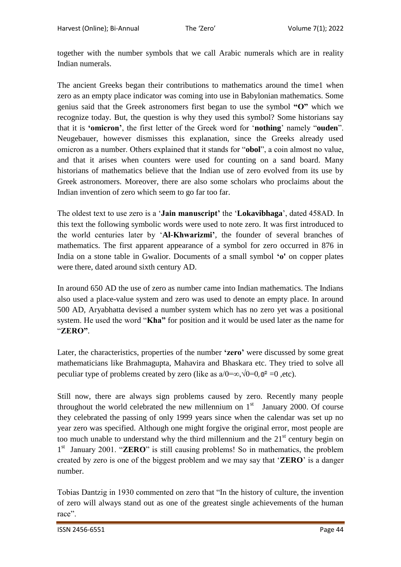together with the number symbols that we call Arabic numerals which are in reality Indian numerals.

The ancient Greeks began their contributions to mathematics around the time1 when zero as an empty place indicator was coming into use in Babylonian mathematics. Some genius said that the Greek astronomers first began to use the symbol **"O"** which we recognize today. But, the question is why they used this symbol? Some historians say that it is **"omicron"**, the first letter of the Greek word for "**nothing**" namely "**ouden**". Neugebauer, however dismisses this explanation, since the Greeks already used omicron as a number. Others explained that it stands for "**obol**", a coin almost no value, and that it arises when counters were used for counting on a sand board. Many historians of mathematics believe that the Indian use of zero evolved from its use by Greek astronomers. Moreover, there are also some scholars who proclaims about the Indian invention of zero which seem to go far too far.

The oldest text to use zero is a "**Jain manuscript"** the "**Lokavibhaga**", dated 458AD. In this text the following symbolic words were used to note zero. It was first introduced to the world centuries later by "**Al-Khwarizmi"**, the founder of several branches of mathematics. The first apparent appearance of a symbol for zero occurred in 876 in India on a stone table in Gwalior. Documents of a small symbol **"o'** on copper plates were there, dated around sixth century AD.

In around 650 AD the use of zero as number came into Indian mathematics. The Indians also used a place-value system and zero was used to denote an empty place. In around 500 AD, Aryabhatta devised a number system which has no zero yet was a positional system. He used the word "**Kha"** for position and it would be used later as the name for "**ZERO"**.

Later, the characteristics, properties of the number **"zero"** were discussed by some great mathematicians like Brahmagupta, Mahavira and Bhaskara etc. They tried to solve all peculiar type of problems created by zero (like as  $a/0 = \infty$ ,  $\sqrt{0} = 0$ ,  $0^2 = 0$ , etc).

Still now, there are always sign problems caused by zero. Recently many people throughout the world celebrated the new millennium on  $1<sup>st</sup>$  January 2000. Of course they celebrated the passing of only 1999 years since when the calendar was set up no year zero was specified. Although one might forgive the original error, most people are too much unable to understand why the third millennium and the  $21<sup>st</sup>$  century begin on 1<sup>st</sup> January 2001. "**ZERO**" is still causing problems! So in mathematics, the problem created by zero is one of the biggest problem and we may say that "**ZERO**" is a danger number.

Tobias Dantzig in 1930 commented on zero that "In the history of culture, the invention of zero will always stand out as one of the greatest single achievements of the human race".